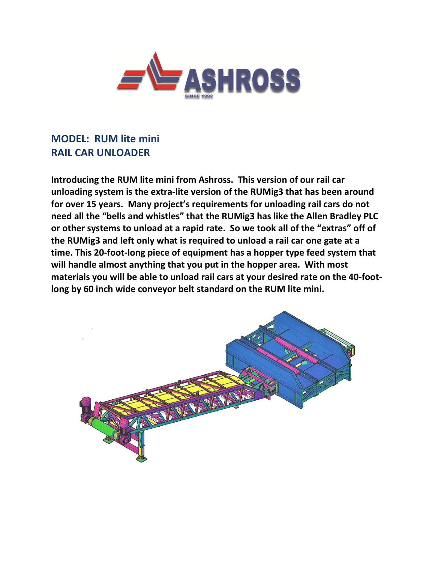

## **MODEL: RUM lite mini RAIL CAR UNLOADER**

**Introducing the RUM lite mini from Ashross. This version of our rail car unloading system is the extra-lite version of the RUMig3 that has been around for over 15 years. Many project's requirements for unloading rail cars do not need all the "bells and whistles" that the RUMig3 has like the Allen Bradley PLC or other systems to unload at a rapid rate. So we took all of the "extras" off of the RUMig3 and left only what is required to unload a rail car one gate at a time. This 20-foot-long piece of equipment has a hopper type feed system that will handle almost anything that you put in the hopper area. With most materials you will be able to unload rail cars at your desired rate on the 40-footlong by 60 inch wide conveyor belt standard on the RUM lite mini.**